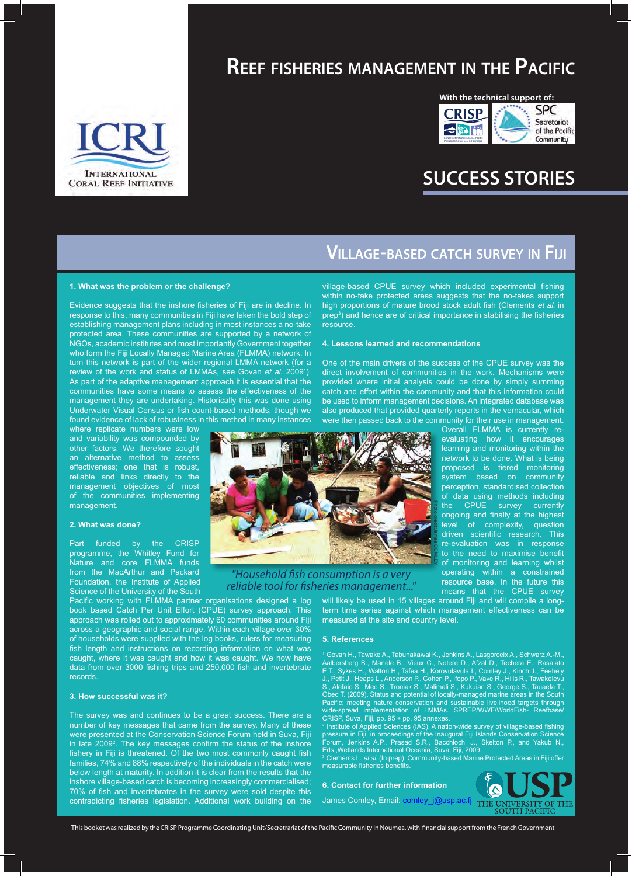

## **Reef fisheries management in the Pacific**



# **SUCCESS STORIES**

### **Village-based catch survey in Fiji**

#### **1. What was the problem or the challenge?**

Evidence suggests that the inshore fisheries of Fiji are in decline. In response to this, many communities in Fiji have taken the bold step of establishing management plans including in most instances a no-take protected area. These communities are supported by a network of NGOs, academic institutes and most importantly Government together who form the Fiji Locally Managed Marine Area (FLMMA) network. In turn this network is part of the wider regional LMMA network (for a review of the work and status of LMMAs, see Govan *et al.* 2009<sup>1</sup>). As part of the adaptive management approach it is essential that the communities have some means to assess the effectiveness of the management they are undertaking. Historically this was done using Underwater Visual Census or fish count-based methods; though we found evidence of lack of robustness in this method in many instances

where replicate numbers were low and variability was compounded by other factors. We therefore sought an alternative method to assess effectiveness; one that is robust, reliable and links directly to the management objectives of most of the communities implementing management.

#### **2. What was done?**

Part funded by the CRISP programme, the Whitley Fund for Nature and core FLMMA funds from the MacArthur and Packard Foundation, the Institute of Applied Science of the University of the South

Pacific working with FLMMA partner organisations designed a log book based Catch Per Unit Effort (CPUE) survey approach. This approach was rolled out to approximately 60 communities around Fiji across a geographic and social range. Within each village over 30% of households were supplied with the log books, rulers for measuring fish length and instructions on recording information on what was caught, where it was caught and how it was caught. We now have data from over 3000 fishing trips and 250,000 fish and invertebrate records.

#### **3. How successful was it?**

The survey was and continues to be a great success. There are a number of key messages that came from the survey. Many of these were presented at the Conservation Science Forum held in Suva, Fiji in late 2009<sup>2</sup>. The key messages confirm the status of the inshore fishery in Fiji is threatened. Of the two most commonly caught fish families, 74% and 88% respectively of the individuals in the catch were below length at maturity. In addition it is clear from the results that the inshore village-based catch is becoming increasingly commercialised; 70% of fish and invertebrates in the survey were sold despite this contradicting fisheries legislation. Additional work building on the

village-based CPUE survey which included experimental fishing within no-take protected areas suggests that the no-takes support high proportions of mature brood stock adult fish (Clements et al. in prep<sup>3</sup>) and hence are of critical importance in stabilising the fisheries resource.

#### **4. Lessons learned and recommendations**

One of the main drivers of the success of the CPUE survey was the direct involvement of communities in the work. Mechanisms were provided where initial analysis could be done by simply summing catch and effort within the community and that this information could be used to inform management decisions. An integrated database was also produced that provided quarterly reports in the vernacular, which were then passed back to the community for their use in management.



*"Household fish consumption is a very reliable tool for fisheries management..."*

Overall FLMMA is currently reevaluating how it encourages learning and monitoring within the network to be done. What is being proposed is tiered monitoring system based on community perception, standardised collection of data using methods including the CPUE survey currently ongoing and finally at the highest level of complexity, question driven scientific research. This re-evaluation was in response to the need to maximise benefit of monitoring and learning whilst operating within a constrained resource base. In the future this means that the CPUE survey

will likely be used in 15 villages around Fiji and will compile a longterm time series against which management effectiveness can be measured at the site and country level.

#### **5. References**

1 Govan H., Tawake A., Tabunakawai K., Jenkins A., Lasgorceix A., Schwarz A.-M., Aalbersberg B., Manele B., Vieux C., Notere D., Afzal D., Techera E., Rasalato E.T., Sykes H., Walton H., Tafea H., Korovulavula I., Comley J., Kinch J., Feehely J., Petit J., Heaps L., Anderson P., Cohen P., Ifopo P., Vave R., Hills R., Tawakelevu S., Alefaio S., Meo S., Troniak S., Malimali S., Kukuian S., George S., Tauaefa T., Obed T. (2009). Status and potential of locally-managed marine areas in the South Pacific: meeting nature conservation and sustainable livelihood targets through wide-spread implementation of LMMAs. SPREP/WWF/WorldFish- Reefbase/ CRISP, Suva, Fiji, pp. 95 + pp. 95 annexes. 2 Institute of Applied Sciences (IAS). A nation-wide survey of village-based fishing

pressure in Fiji, in proceedings of the Inaugural Fiji Islands Conservation Science Forum, Jenkins A.P., Prasad S.R., Bacchiochi J., Skelton P., and Yakub N., Eds.,Wetlands International Oceania, Suva, Fiji, 2009.<br><sup>3</sup> Clements L*. et al.* (In prep). Community-based Marine Protected Areas in Fiji offer measurable fisheries benefits.

**6. Contact for further information** James Comley, Email: comley\_j@usp.ac.fj THE

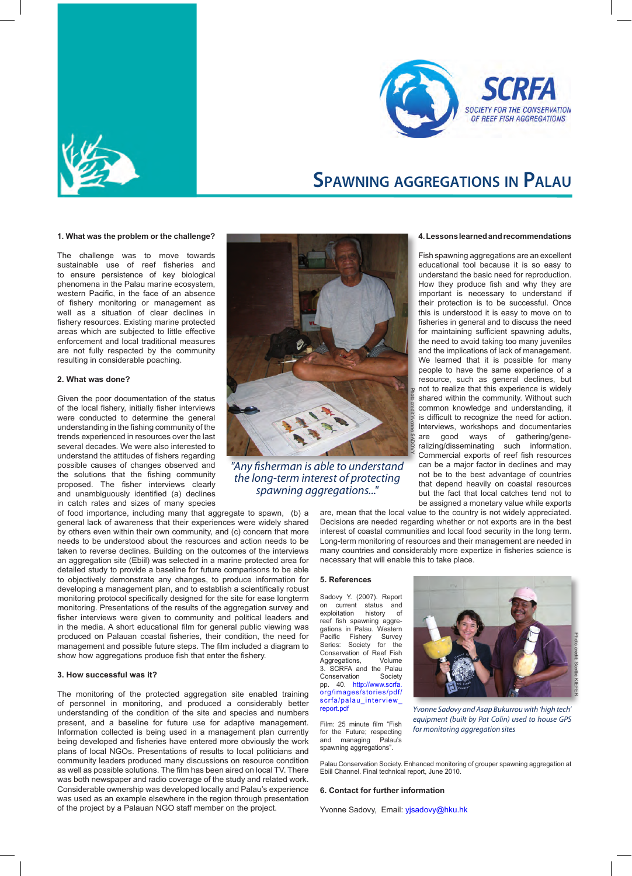



### **Spawning aggregations in Palau**

#### **1. What was the problem or the challenge?**

The challenge was to move towards sustainable use of reef fisheries and to ensure persistence of key biological phenomena in the Palau marine ecosystem, western Pacific, in the face of an absence of fishery monitoring or management as well as a situation of clear declines in fishery resources. Existing marine protected areas which are subjected to little effective enforcement and local traditional measures are not fully respected by the community resulting in considerable poaching.

#### **2. What was done?**

Given the poor documentation of the status of the local fishery, initially fisher interviews were conducted to determine the general understanding in the fishing community of the trends experienced in resources over the last several decades. We were also interested to understand the attitudes of fishers regarding possible causes of changes observed and the solutions that the fishing community proposed. The fisher interviews clearly and unambiguously identified (a) declines in catch rates and sizes of many species



*"Any fisherman is able to understand the long-term interest of protecting spawning aggregations..."*

of food importance, including many that aggregate to spawn, (b) a general lack of awareness that their experiences were widely shared by others even within their own community, and (c) concern that more needs to be understood about the resources and action needs to be taken to reverse declines. Building on the outcomes of the interviews an aggregation site (Ebiil) was selected in a marine protected area for detailed study to provide a baseline for future comparisons to be able to objectively demonstrate any changes, to produce information for developing a management plan, and to establish a scientifically robust monitoring protocol specifically designed for the site for ease longterm monitoring. Presentations of the results of the aggregation survey and fisher interviews were given to community and political leaders and in the media. A short educational film for general public viewing was produced on Palauan coastal fisheries, their condition, the need for management and possible future steps. The film included a diagram to show how aggregations produce fish that enter the fishery.

#### **3. How successful was it?**

The monitoring of the protected aggregation site enabled training of personnel in monitoring, and produced a considerably better understanding of the condition of the site and species and numbers present, and a baseline for future use for adaptive management. Information collected is being used in a management plan currently being developed and fisheries have entered more obviously the work plans of local NGOs. Presentations of results to local politicians and community leaders produced many discussions on resource condition as well as possible solutions. The film has been aired on local TV. There was both newspaper and radio coverage of the study and related work. Considerable ownership was developed locally and Palau's experience was used as an example elsewhere in the region through presentation of the project by a Palauan NGO staff member on the project.

#### **4. Lessons learned and recommendations**

Fish spawning aggregations are an excellent educational tool because it is so easy to understand the basic need for reproduction. How they produce fish and why they are important is necessary to understand if their protection is to be successful. Once this is understood it is easy to move on to fisheries in general and to discuss the need for maintaining sufficient spawning adults, the need to avoid taking too many juveniles and the implications of lack of management. We learned that it is possible for many people to have the same experience of a resource, such as general declines, but not to realize that this experience is widely shared within the community. Without such common knowledge and understanding, it is difficult to recognize the need for action. Interviews, workshops and documentaries are good ways of gathering/generalizing/disseminating such information. Commercial exports of reef fish resources can be a major factor in declines and may not be to the best advantage of countries that depend heavily on coastal resources but the fact that local catches tend not to be assigned a monetary value while exports

are, mean that the local value to the country is not widely appreciated. Decisions are needed regarding whether or not exports are in the best interest of coastal communities and local food security in the long term. Long-term monitoring of resources and their management are needed in many countries and considerably more expertize in fisheries science is necessary that will enable this to take place.

#### **5. References**

Sadovy Y. (2007). Report on current status and<br>exploitation history of exploitation history of reef fish spawning aggregations in Palau. Western<br>Pacific Fishery Survey Fishery Survey<br>Society for the Series: Society Conservation of Reef Fish Aggregations, Volume 3. SCRFA and the Palau Conservation Society pp. 40. http://www.scrfa. org/images/stories/pdf/ scrfa/palau\_interview\_ report.pdf

Film: 25 minute film "Fish for the Future; respecting<br>and managing Palau's managing spawning aggregations".



*Yvonne Sadovy and Asap Bukurrou with 'high tech' equipment (built by Pat Colin) used to house GPS* 

Palau Conservation Society. Enhanced monitoring of grouper spawning aggregation at Ebiil Channel. Final technical report, June 2010.

#### **6. Contact for further information**

Yvonne Sadovy, Email: yjsadovy@hku.hk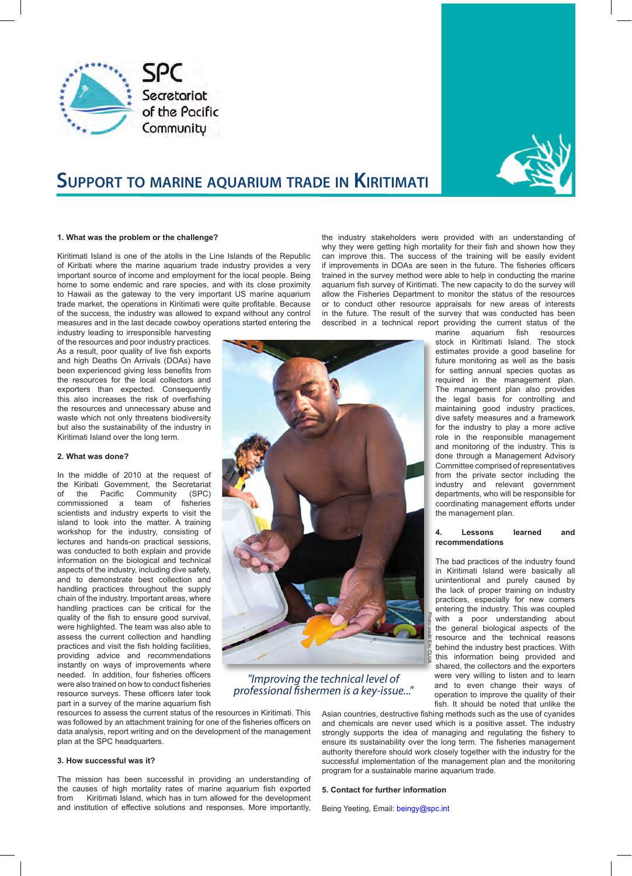



# **Support to marine aquarium trade in Kiritimati**

#### **1. What was the problem or the challenge?**

Kiritimati Island is one of the atolls in the Line Islands of the Republic of Kiribati where the marine aquarium trade industry provides a very important source of income and employment for the local people. Being home to some endemic and rare species, and with its close proximity to Hawaii as the gateway to the very important US marine aquarium trade market, the operations in Kiritimati were quite profitable. Because of the success, the industry was allowed to expand without any control measures and in the last decade cowboy operations started entering the

industry leading to irresponsible harvesting of the resources and poor industry practices. As a result, poor quality of live fish exports and high Deaths On Arrivals (DOAs) have been experienced giving less benefits from the resources for the local collectors and exporters than expected. Consequently this also increases the risk of overfishing the resources and unnecessary abuse and waste which not only threatens biodiversity but also the sustainability of the industry in Kiritimati Island over the long term.

#### **2. What was done?**

In the middle of 2010 at the request of the Kiribati Government, the Secretariat<br>of the Pacific Community (SPC) of the Pacific Community (SPC)<br>commissioned a team of fisheries commissioned a team of scientists and industry experts to visit the island to look into the matter. A training workshop for the industry, consisting of lectures and hands-on practical sessions, was conducted to both explain and provide information on the biological and technical aspects of the industry, including dive safety, and to demonstrate best collection and handling practices throughout the supply chain of the industry. Important areas, where handling practices can be critical for the quality of the fish to ensure good survival, were highlighted. The team was also able to assess the current collection and handling practices and visit the fish holding facilities, providing advice and recommendations instantly on ways of improvements where needed. In addition, four fisheries officers were also trained on how to conduct fisheries resource surveys. These officers later took part in a survey of the marine aquarium fish

the industry stakeholders were provided with an understanding of why they were getting high mortality for their fish and shown how they can improve this. The success of the training will be easily evident if improvements in DOAs are seen in the future. The fisheries officers trained in the survey method were able to help in conducting the marine aquarium fish survey of Kiritimati. The new capacity to do the survey will allow the Fisheries Department to monitor the status of the resources or to conduct other resource appraisals for new areas of interests in the future. The result of the survey that was conducted has been described in a technical report providing the current status of the



### *"Improving the technical level of professional fishermen is a key-issue..."*

resources to assess the current status of the resources in Kiritimati. This was followed by an attachment training for one of the fisheries officers on data analysis, report writing and on the development of the management plan at the SPC headquarters.

#### **3. How successful was it?**

The mission has been successful in providing an understanding of the causes of high mortality rates of marine aquarium fish exported from Kiritimati Island, which has in turn allowed for the development and institution of effective solutions and responses. More importantly, Asian countries, destructive fishing methods such as the use of cyanides and chemicals are never used which is a positive asset. The industry strongly supports the idea of managing and regulating the fishery to ensure its sustainability over the long term. The fisheries management authority therefore should work closely together with the industry for the successful implementation of the management plan and the monitoring program for a sustainable marine aquarium trade.

#### **5. Contact for further information**

Being Yeeting, Email: beingy@spc.int

marine aquarium fish resources stock in Kiritimati Island. The stock estimates provide a good baseline for future monitoring as well as the basis for setting annual species quotas as required in the management plan. The management plan also provides the legal basis for controlling and maintaining good industry practices, dive safety measures and a framework for the industry to play a more active role in the responsible management and monitoring of the industry. This is done through a Management Advisory Committee comprised of representatives from the private sector including the industry and relevant government departments, who will be responsible for coordinating management efforts under the management plan.

#### **4. Lessons learned and recommendations**

The bad practices of the industry found in Kiritimati Island were basically all unintentional and purely caused by the lack of proper training on industry practices, especially for new comers entering the industry. This was coupled with a poor understanding about the general biological aspects of the resource and the technical reasons behind the industry best practices. With this information being provided and shared, the collectors and the exporters were very willing to listen and to learn and to even change their ways of operation to improve the quality of their fish. It should be noted that unlike the